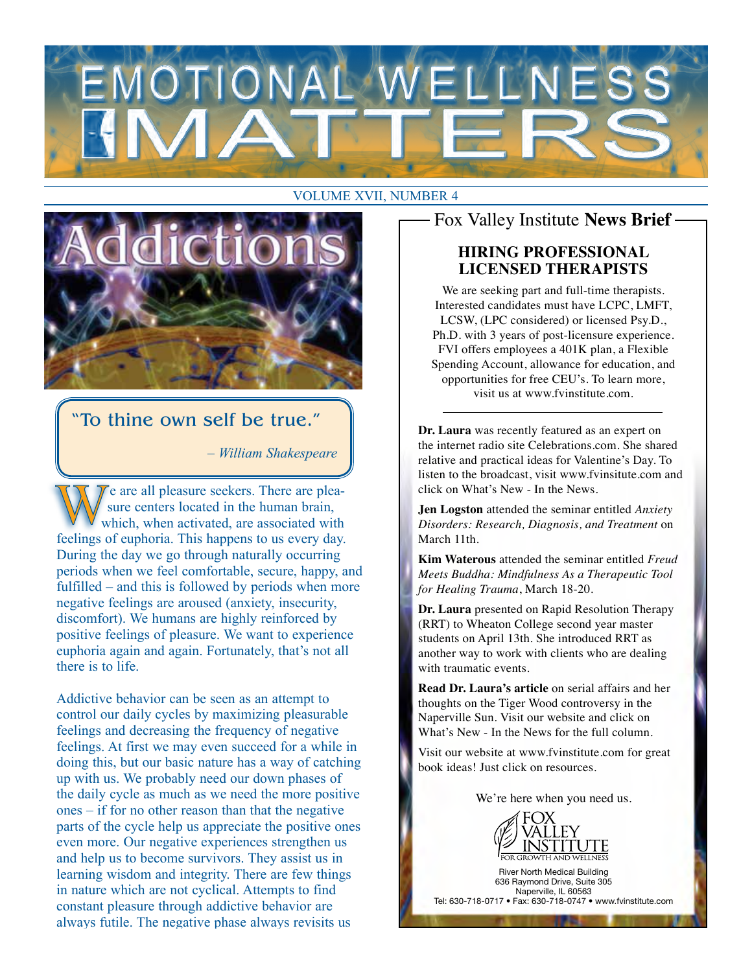

#### VOLUME XVII, NUMBER 4



### "To thine own self be true."

*– William Shakespeare*

 $\gamma$  e are all pleasure seekers. There are pleasure centers located in the human brain, which, when activated, are associated with feelings of euphoria. This happens to us every day. During the day we go through naturally occurring periods when we feel comfortable, secure, happy, and fulfilled – and this is followed by periods when more negative feelings are aroused (anxiety, insecurity, discomfort). We humans are highly reinforced by positive feelings of pleasure. We want to experience euphoria again and again. Fortunately, that's not all there is to life.

Addictive behavior can be seen as an attempt to control our daily cycles by maximizing pleasurable feelings and decreasing the frequency of negative feelings. At first we may even succeed for a while in doing this, but our basic nature has a way of catching up with us. We probably need our down phases of the daily cycle as much as we need the more positive ones – if for no other reason than that the negative parts of the cycle help us appreciate the positive ones even more. Our negative experiences strengthen us and help us to become survivors. They assist us in learning wisdom and integrity. There are few things in nature which are not cyclical. Attempts to find constant pleasure through addictive behavior are always futile. The negative phase always revisits us

## Fox Valley Institute **News Brief**

#### **HIRING PROFESSIONAL LICENSED THERAPISTS**

We are seeking part and full-time therapists. Interested candidates must have LCPC, LMFT, LCSW, (LPC considered) or licensed Psy.D., Ph.D. with 3 years of post-licensure experience. FVI offers employees a 401K plan, a Flexible Spending Account, allowance for education, and opportunities for free CEU's. To learn more, visit us at www.fvinstitute.com.

**Dr. Laura** was recently featured as an expert on the internet radio site Celebrations.com. She shared relative and practical ideas for Valentine's Day. To listen to the broadcast, visit www.fvinsitute.com and click on What's New - In the News.

**Jen Logston** attended the seminar entitled *Anxiety Disorders: Research, Diagnosis, and Treatment* on March 11th.

**Kim Waterous** attended the seminar entitled *Freud Meets Buddha: Mindfulness As a Therapeutic Tool for Healing Trauma*, March 18-20.

**Dr. Laura** presented on Rapid Resolution Therapy (RRT) to Wheaton College second year master students on April 13th. She introduced RRT as another way to work with clients who are dealing with traumatic events.

**Read Dr. Laura's article** on serial affairs and her thoughts on the Tiger Wood controversy in the Naperville Sun. Visit our website and click on What's New - In the News for the full column.

Visit our website at www.fvinstitute.com for great book ideas! Just click on resources.

We're here when you need us.



River North Medical Building 636 Raymond Drive, Suite 305 Naperville, IL 60563 Tel: 630-718-0717 • Fax: 630-718-0747 • www.fvinstitute.com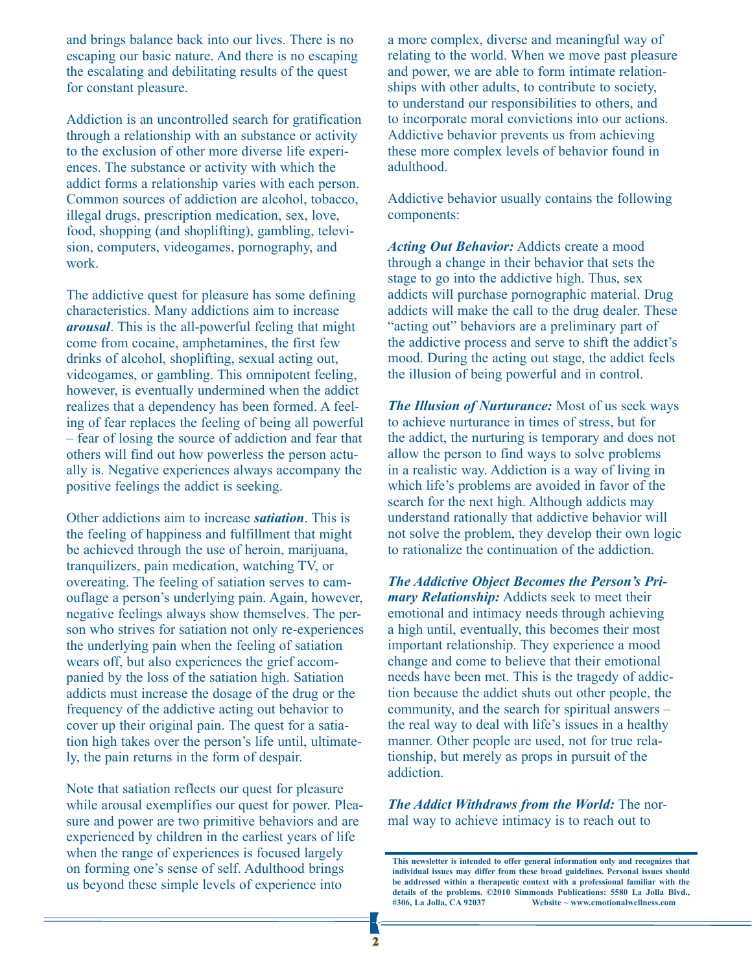and brings balance back into our lives. There is no escaping our basic nature. And there is no escaping the escalating and debilitating results of the quest for constant pleasure.

Addiction is an uncontrolled search for gratification through a relationship with an substance or activity to the exclusion of other more diverse life experiences. The substance or activity with which the addict forms a relationship varies with each person. Common sources of addiction are alcohol, tobacco, illegal drugs, prescription medication, sex, love, food, shopping (and shoplifting), gambling, television, computers, videogames, pornography, and work.

The addictive quest for pleasure has some defining characteristics. Many addictions aim to increase *arousal*. This is the all-powerful feeling that might come from cocaine, amphetamines, the first few drinks of alcohol, shoplifting, sexual acting out, videogames, or gambling. This omnipotent feeling, however, is eventually undermined when the addict realizes that a dependency has been formed. A feeling of fear replaces the feeling of being all powerful – fear of losing the source of addiction and fear that others will find out how powerless the person actually is. Negative experiences always accompany the positive feelings the addict is seeking.

Other addictions aim to increase *satiation*. This is the feeling of happiness and fulfillment that might be achieved through the use of heroin, marijuana, tranquilizers, pain medication, watching TV, or overeating. The feeling of satiation serves to camouflage a person's underlying pain. Again, however, negative feelings always show themselves. The person who strives for satiation not only re-experiences the underlying pain when the feeling of satiation wears off, but also experiences the grief accompanied by the loss of the satiation high. Satiation addicts must increase the dosage of the drug or the frequency of the addictive acting out behavior to cover up their original pain. The quest for a satiation high takes over the person's life until, ultimately, the pain returns in the form of despair.

Note that satiation reflects our quest for pleasure while arousal exemplifies our quest for power. Pleasure and power are two primitive behaviors and are experienced by children in the earliest years of life when the range of experiences is focused largely on forming one's sense of self. Adulthood brings us beyond these simple levels of experience into

a more complex, diverse and meaningful way of relating to the world. When we move past pleasure and power, we are able to form intimate relationships with other adults, to contribute to society, to understand our responsibilities to others, and to incorporate moral convictions into our actions. Addictive behavior prevents us from achieving these more complex levels of behavior found in adulthood.

Addictive behavior usually contains the following components:

*Acting Out Behavior:* Addicts create a mood through a change in their behavior that sets the stage to go into the addictive high. Thus, sex addicts will purchase pornographic material. Drug addicts will make the call to the drug dealer. These "acting out" behaviors are a preliminary part of the addictive process and serve to shift the addict's mood. During the acting out stage, the addict feels the illusion of being powerful and in control.

*The Illusion of Nurturance:* Most of us seek ways to achieve nurturance in times of stress, but for the addict, the nurturing is temporary and does not allow the person to find ways to solve problems in a realistic way. Addiction is a way of living in which life's problems are avoided in favor of the search for the next high. Although addicts may understand rationally that addictive behavior will not solve the problem, they develop their own logic to rationalize the continuation of the addiction.

*The Addictive Object Becomes the Person's Primary Relationship:* Addicts seek to meet their emotional and intimacy needs through achieving a high until, eventually, this becomes their most important relationship. They experience a mood change and come to believe that their emotional needs have been met. This is the tragedy of addiction because the addict shuts out other people, the community, and the search for spiritual answers – the real way to deal with life's issues in a healthy manner. Other people are used, not for true relationship, but merely as props in pursuit of the addiction.

*The Addict Withdraws from the World:* The normal way to achieve intimacy is to reach out to

**This newsletter is intended to offer general information only and recognizes that individual issues may differ from these broad guidelines. Personal issues should be addressed within a therapeutic context with a professional familiar with the details of the problems. ©2010 Simmonds Publications: 5580 La Jolla Blvd., #306, La Jolla, CA 92037 Website ~ www.emotionalwellness.com**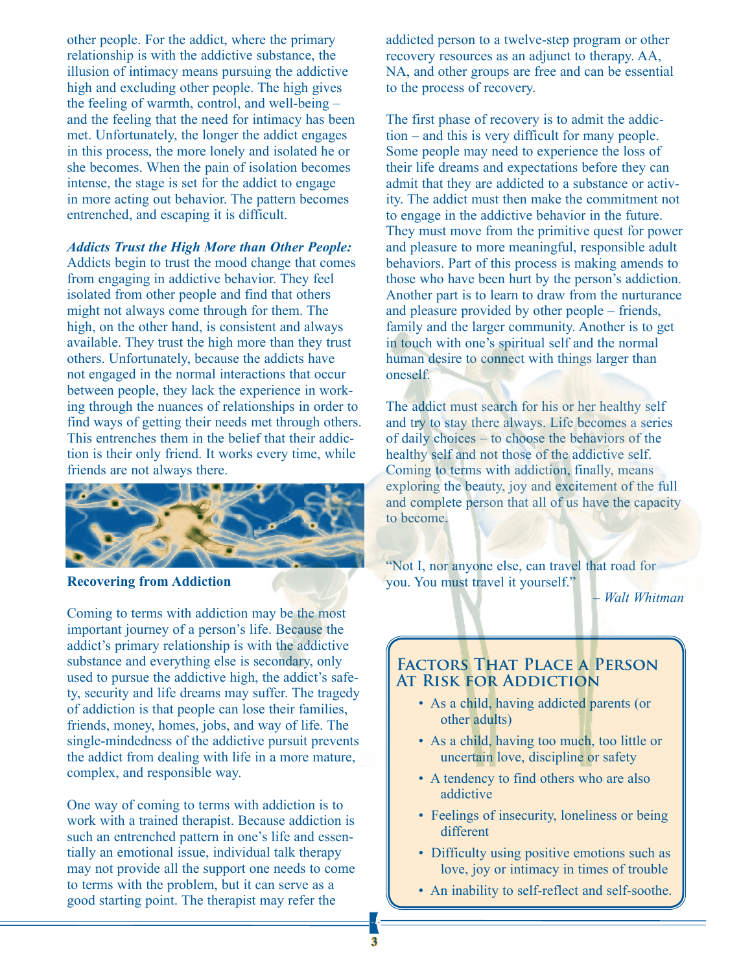other people. For the addict, where the primary relationship is with the addictive substance, the illusion of intimacy means pursuing the addictive high and excluding other people. The high gives the feeling of warmth, control, and well-being – and the feeling that the need for intimacy has been met. Unfortunately, the longer the addict engages in this process, the more lonely and isolated he or she becomes. When the pain of isolation becomes intense, the stage is set for the addict to engage in more acting out behavior. The pattern becomes entrenched, and escaping it is difficult.

#### *Addicts Trust the High More than Other People:*

Addicts begin to trust the mood change that comes from engaging in addictive behavior. They feel isolated from other people and find that others might not always come through for them. The high, on the other hand, is consistent and always available. They trust the high more than they trust others. Unfortunately, because the addicts have not engaged in the normal interactions that occur between people, they lack the experience in working through the nuances of relationships in order to find ways of getting their needs met through others. This entrenches them in the belief that their addiction is their only friend. It works every time, while friends are not always there.



**Recovering from Addiction**

Coming to terms with addiction may be the most important journey of a person's life. Because the addict's primary relationship is with the addictive substance and everything else is secondary, only used to pursue the addictive high, the addict's safety, security and life dreams may suffer. The tragedy of addiction is that people can lose their families, friends, money, homes, jobs, and way of life. The single-mindedness of the addictive pursuit prevents the addict from dealing with life in a more mature, complex, and responsible way.

One way of coming to terms with addiction is to work with a trained therapist. Because addiction is such an entrenched pattern in one's life and essentially an emotional issue, individual talk therapy may not provide all the support one needs to come to terms with the problem, but it can serve as a good starting point. The therapist may refer the

addicted person to a twelve-step program or other recovery resources as an adjunct to therapy. AA, NA, and other groups are free and can be essential to the process of recovery.

The first phase of recovery is to admit the addiction – and this is very difficult for many people. Some people may need to experience the loss of their life dreams and expectations before they can admit that they are addicted to a substance or activity. The addict must then make the commitment not to engage in the addictive behavior in the future. They must move from the primitive quest for power and pleasure to more meaningful, responsible adult behaviors. Part of this process is making amends to those who have been hurt by the person's addiction. Another part is to learn to draw from the nurturance and pleasure provided by other people – friends, family and the larger community. Another is to get in touch with one's spiritual self and the normal human desire to connect with things larger than oneself.

The addict must search for his or her healthy self and try to stay there always. Life becomes a series of daily choices – to choose the behaviors of the healthy self and not those of the addictive self. Coming to terms with addiction, finally, means exploring the beauty, joy and excitement of the full and complete person that all of us have the capacity to become.

"Not I, nor anyone else, can travel that road for you. You must travel it yourself."

*– Walt Whitman*

#### **Factors That Place a Person At Risk for Addiction**

- As a child, having addicted parents (or other adults)
- As a child, having too much, too little or uncertain love, discipline or safety
- A tendency to find others who are also addictive
- Feelings of insecurity, loneliness or being different
- Difficulty using positive emotions such as love, joy or intimacy in times of trouble
- An inability to self-reflect and self-soothe.